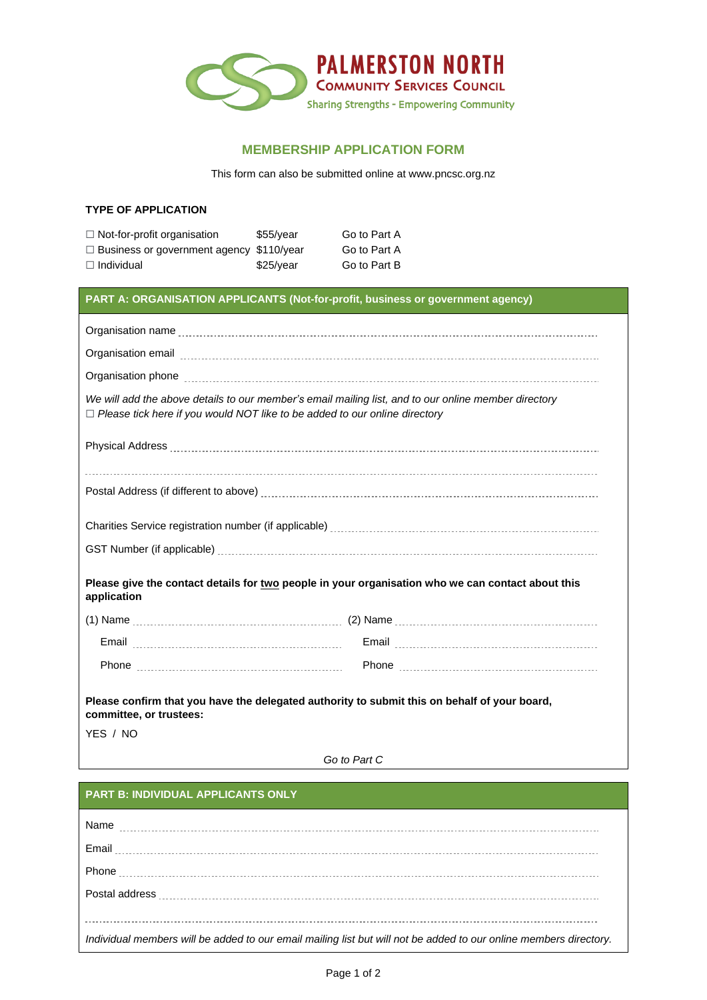

## **MEMBERSHIP APPLICATION FORM**

This form can also be submitted online at www.pncsc.org.nz

| <b>TYPE OF APPLICATION</b> |
|----------------------------|
|----------------------------|

| $\Box$ Not-for-profit organisation              | $$55/\text{year}$ | Go to Part A |
|-------------------------------------------------|-------------------|--------------|
| $\Box$ Business or government agency \$110/year |                   | Go to Part A |
| $\Box$ Individual                               | \$25/year         | Go to Part B |

## **PART A: ORGANISATION APPLICANTS (Not-for-profit, business or government agency)**

| Organisation phone [111] [12] contract the contract of the contract of the contract of the contract of the contract of the contract of the contract of the contract of the contract of the contract of the contract of the con |
|--------------------------------------------------------------------------------------------------------------------------------------------------------------------------------------------------------------------------------|
| We will add the above details to our member's email mailing list, and to our online member directory<br>$\Box$ Please tick here if you would NOT like to be added to our online directory                                      |
|                                                                                                                                                                                                                                |
|                                                                                                                                                                                                                                |
|                                                                                                                                                                                                                                |
|                                                                                                                                                                                                                                |
| Please give the contact details for two people in your organisation who we can contact about this<br>application                                                                                                               |
|                                                                                                                                                                                                                                |
|                                                                                                                                                                                                                                |
|                                                                                                                                                                                                                                |
| Please confirm that you have the delegated authority to submit this on behalf of your board,<br>committee, or trustees:                                                                                                        |
| YES / NO                                                                                                                                                                                                                       |

*Go to Part C*

## **PART B: INDIVIDUAL APPLICANTS ONLY**

| Name                                                                                                                   |
|------------------------------------------------------------------------------------------------------------------------|
|                                                                                                                        |
|                                                                                                                        |
| Postal address <b>continuous contracts</b> and a determinant and a determinant and a determinant and a determinant and |
|                                                                                                                        |
| Individual members will be added to our email mailing list but will not be added to our online members directory.      |